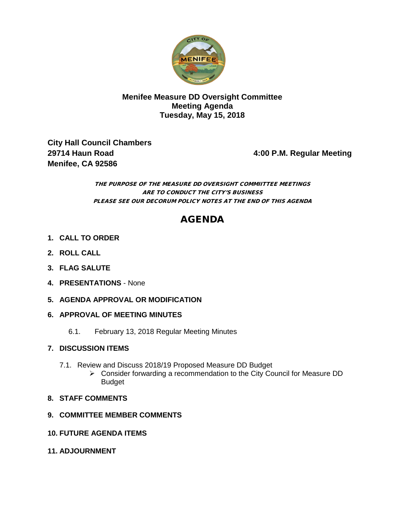

## **Menifee Measure DD Oversight Committee Meeting Agenda Tuesday, May 15, 2018**

**City Hall Council Chambers 29714 Haun Road 4:00 P.M. Regular Meeting Menifee, CA 92586** 

#### THE PURPOSE OF THE MEASURE DD OVERSIGHT COMMIITTEE MEETINGS ARE TO CONDUCT THE CITY'S BUSINESS PLEASE SEE OUR DECORUM POLICY NOTES AT THE END OF THIS AGENDA

# AGENDA

- **1. CALL TO ORDER**
- **2. ROLL CALL**
- **3. FLAG SALUTE**
- **4. PRESENTATIONS** None
- **5. AGENDA APPROVAL OR MODIFICATION**
- **6. APPROVAL OF MEETING MINUTES**
	- 6.1. February 13, 2018 Regular Meeting Minutes

## **7. DISCUSSION ITEMS**

- 7.1. Review and Discuss 2018/19 Proposed Measure DD Budget
	- Consider forwarding a recommendation to the City Council for Measure DD Budget

## **8. STAFF COMMENTS**

- **9. COMMITTEE MEMBER COMMENTS**
- **10. FUTURE AGENDA ITEMS**
- **11. ADJOURNMENT**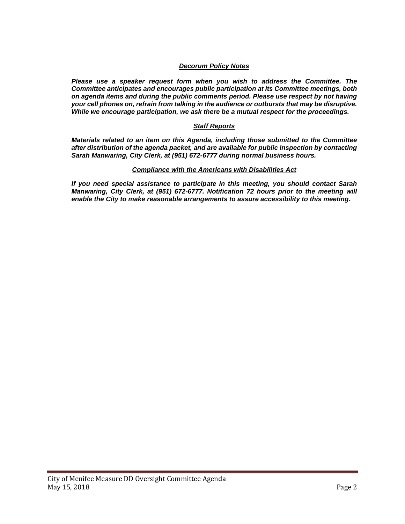#### *Decorum Policy Notes*

*Please use a speaker request form when you wish to address the Committee. The Committee anticipates and encourages public participation at its Committee meetings, both on agenda items and during the public comments period. Please use respect by not having your cell phones on, refrain from talking in the audience or outbursts that may be disruptive. While we encourage participation, we ask there be a mutual respect for the proceedings.*

#### *Staff Reports*

*Materials related to an item on this Agenda, including those submitted to the Committee after distribution of the agenda packet, and are available for public inspection by contacting Sarah Manwaring, City Clerk, at (951) 672-6777 during normal business hours.* 

#### *Compliance with the Americans with Disabilities Act*

*If you need special assistance to participate in this meeting, you should contact Sarah Manwaring, City Clerk, at (951) 672-6777. Notification 72 hours prior to the meeting will enable the City to make reasonable arrangements to assure accessibility to this meeting.*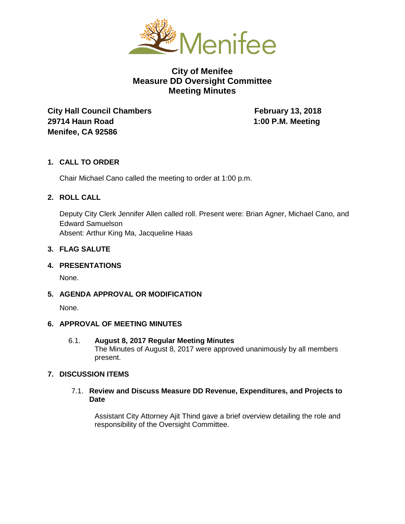

# **City of Menifee Measure DD Oversight Committee Meeting Minutes**

**City Hall Council Chambers February 13, 2018 29714 Haun Road 1:00 P.M. Meeting Menifee, CA 92586** 

## **1. CALL TO ORDER**

Chair Michael Cano called the meeting to order at 1:00 p.m.

#### **2. ROLL CALL**

Deputy City Clerk Jennifer Allen called roll. Present were: Brian Agner, Michael Cano, and Edward Samuelson Absent: Arthur King Ma, Jacqueline Haas

#### **3. FLAG SALUTE**

**4. PRESENTATIONS**

None.

**5. AGENDA APPROVAL OR MODIFICATION**

None.

#### **6. APPROVAL OF MEETING MINUTES**

6.1. **August 8, 2017 Regular Meeting Minutes** The Minutes of August 8, 2017 were approved unanimously by all members present.

## **7. DISCUSSION ITEMS**

7.1. **Review and Discuss Measure DD Revenue, Expenditures, and Projects to Date**

Assistant City Attorney Ajit Thind gave a brief overview detailing the role and responsibility of the Oversight Committee.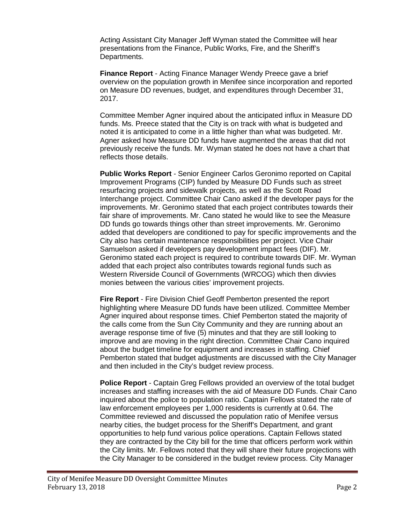Acting Assistant City Manager Jeff Wyman stated the Committee will hear presentations from the Finance, Public Works, Fire, and the Sheriff's Departments.

**Finance Report** - Acting Finance Manager Wendy Preece gave a brief overview on the population growth in Menifee since incorporation and reported on Measure DD revenues, budget, and expenditures through December 31, 2017.

Committee Member Agner inquired about the anticipated influx in Measure DD funds. Ms. Preece stated that the City is on track with what is budgeted and noted it is anticipated to come in a little higher than what was budgeted. Mr. Agner asked how Measure DD funds have augmented the areas that did not previously receive the funds. Mr. Wyman stated he does not have a chart that reflects those details.

**Public Works Report** - Senior Engineer Carlos Geronimo reported on Capital Improvement Programs (CIP) funded by Measure DD Funds such as street resurfacing projects and sidewalk projects, as well as the Scott Road Interchange project. Committee Chair Cano asked if the developer pays for the improvements. Mr. Geronimo stated that each project contributes towards their fair share of improvements. Mr. Cano stated he would like to see the Measure DD funds go towards things other than street improvements. Mr. Geronimo added that developers are conditioned to pay for specific improvements and the City also has certain maintenance responsibilities per project. Vice Chair Samuelson asked if developers pay development impact fees (DIF). Mr. Geronimo stated each project is required to contribute towards DIF. Mr. Wyman added that each project also contributes towards regional funds such as Western Riverside Council of Governments (WRCOG) which then divvies monies between the various cities' improvement projects.

**Fire Report** - Fire Division Chief Geoff Pemberton presented the report highlighting where Measure DD funds have been utilized. Committee Member Agner inquired about response times. Chief Pemberton stated the majority of the calls come from the Sun City Community and they are running about an average response time of five (5) minutes and that they are still looking to improve and are moving in the right direction. Committee Chair Cano inquired about the budget timeline for equipment and increases in staffing. Chief Pemberton stated that budget adjustments are discussed with the City Manager and then included in the City's budget review process.

**Police Report** - Captain Greg Fellows provided an overview of the total budget increases and staffing increases with the aid of Measure DD Funds. Chair Cano inquired about the police to population ratio. Captain Fellows stated the rate of law enforcement employees per 1,000 residents is currently at 0.64. The Committee reviewed and discussed the population ratio of Menifee versus nearby cities, the budget process for the Sheriff's Department, and grant opportunities to help fund various police operations. Captain Fellows stated they are contracted by the City bill for the time that officers perform work within the City limits. Mr. Fellows noted that they will share their future projections with the City Manager to be considered in the budget review process. City Manager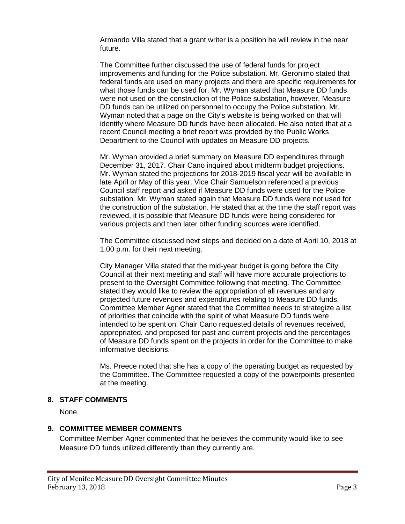Armando Villa stated that a grant writer is a position he will review in the near future.

The Committee further discussed the use of federal funds for project improvements and funding for the Police substation. Mr. Geronimo stated that federal funds are used on many projects and there are specific requirements for what those funds can be used for. Mr. Wyman stated that Measure DD funds were not used on the construction of the Police substation, however, Measure DD funds can be utilized on personnel to occupy the Police substation. Mr. Wyman noted that a page on the City's website is being worked on that will identify where Measure DD funds have been allocated. He also noted that at a recent Council meeting a brief report was provided by the Public Works Department to the Council with updates on Measure DD projects.

Mr. Wyman provided a brief summary on Measure DD expenditures through December 31, 2017. Chair Cano inquired about midterm budget projections. Mr. Wyman stated the projections for 2018-2019 fiscal year will be available in late April or May of this year. Vice Chair Samuelson referenced a previous Council staff report and asked if Measure DD funds were used for the Police substation. Mr. Wyman stated again that Measure DD funds were not used for the construction of the substation. He stated that at the time the staff report was reviewed, it is possible that Measure DD funds were being considered for various projects and then later other funding sources were identified.

The Committee discussed next steps and decided on a date of April 10, 2018 at 1:00 p.m. for their next meeting.

City Manager Villa stated that the mid-year budget is going before the City Council at their next meeting and staff will have more accurate projections to present to the Oversight Committee following that meeting. The Committee stated they would like to review the appropriation of all revenues and any projected future revenues and expenditures relating to Measure DD funds. Committee Member Agner stated that the Committee needs to strategize a list of priorities that coincide with the spirit of what Measure DD funds were intended to be spent on. Chair Cano requested details of revenues received, appropriated, and proposed for past and current projects and the percentages of Measure DD funds spent on the projects in order for the Committee to make informative decisions.

Ms. Preece noted that she has a copy of the operating budget as requested by the Committee. The Committee requested a copy of the powerpoints presented at the meeting.

#### **8. STAFF COMMENTS**

None.

## **9. COMMITTEE MEMBER COMMENTS**

Committee Member Agner commented that he believes the community would like to see Measure DD funds utilized differently than they currently are.